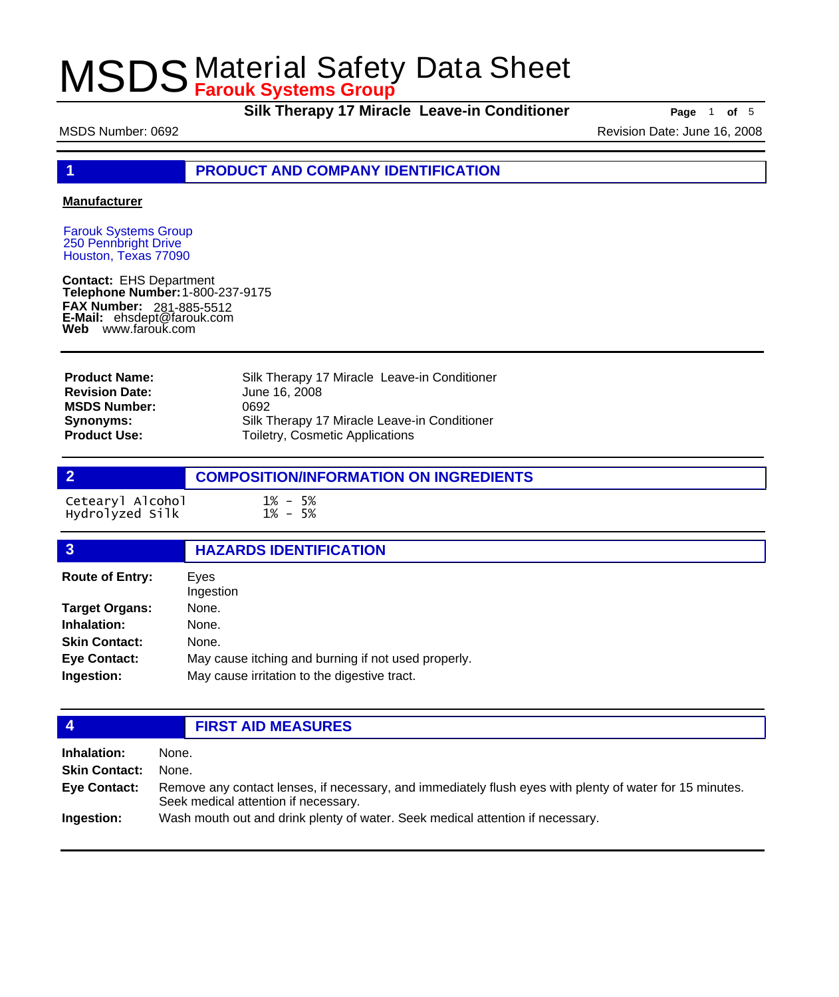**Silk Therapy 17 Miracle Leave-in Conditioner Page** 1 of 5

MSDS Number: 0692 Revision Date: June 16, 2008

**1 PRODUCT AND COMPANY IDENTIFICATION**

### **Manufacturer**

Farouk Systems Group 250 Pennbright Drive Houston, Texas 77090

**Contact:** EHS Department **Telephone Number:** 1-800-237-9175 **FAX Number: FAX Number:** 281-885-5512<br>**E-Mail:** ehsdept@farouk.com **Web** www.farouk.com

| <b>Product Name:</b>  | Silk Therapy 17 Miracle Leave-in Conditioner |
|-----------------------|----------------------------------------------|
| <b>Revision Date:</b> | June 16, 2008                                |
| <b>MSDS Number:</b>   | 0692                                         |
| Synonyms:             | Silk Therapy 17 Miracle Leave-in Conditioner |
| <b>Product Use:</b>   | <b>Toiletry, Cosmetic Applications</b>       |

## **2 COMPOSITION/INFORMATION ON INGREDIENTS**

Cetearyl Alcohol 1% - 5% Hydrolyzed Silk 1% - 5%

### **3 HAZARDS IDENTIFICATION** Eyes Ingestion **Route of Entry: Target Organs:** None. **Inhalation:** None.

| <b>Skin Contact:</b> | None.                                               |
|----------------------|-----------------------------------------------------|
| Eye Contact:         | May cause itching and burning if not used properly. |
| Ingestion:           | May cause irritation to the digestive tract.        |

## **4 FIRST AID MEASURES**

| Inhalation:          | None.                                                                                                                                            |
|----------------------|--------------------------------------------------------------------------------------------------------------------------------------------------|
| <b>Skin Contact:</b> | None.                                                                                                                                            |
| Eye Contact:         | Remove any contact lenses, if necessary, and immediately flush eyes with plenty of water for 15 minutes.<br>Seek medical attention if necessary. |
| <b>Ingestion:</b>    | Wash mouth out and drink plenty of water. Seek medical attention if necessary.                                                                   |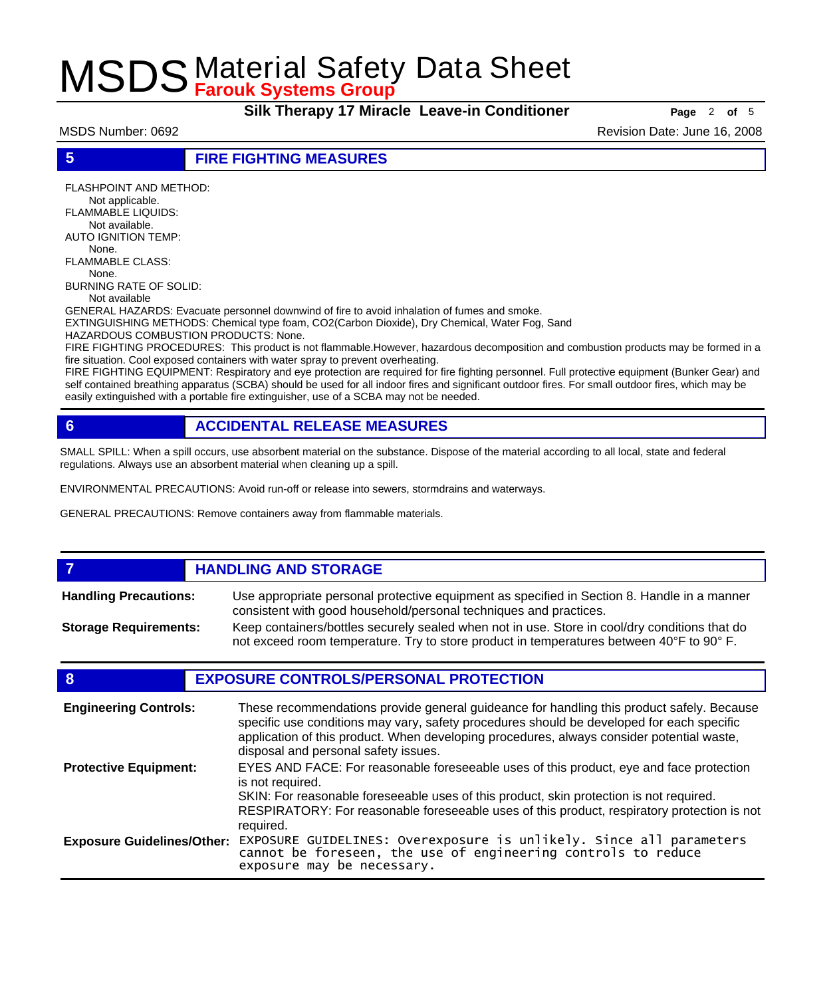**Silk Therapy 17 Miracle Leave-in Conditioner Page** 2 of 5

MSDS Number: 0692 Revision Date: June 16, 2008

**5 FIRE FIGHTING MEASURES**

FLASHPOINT AND METHOD: Not applicable. FLAMMABLE LIQUIDS: Not available. AUTO IGNITION TEMP: None. FLAMMABLE CLASS: None. BURNING RATE OF SOLID:

Not available

GENERAL HAZARDS: Evacuate personnel downwind of fire to avoid inhalation of fumes and smoke. EXTINGUISHING METHODS: Chemical type foam, CO2(Carbon Dioxide), Dry Chemical, Water Fog, Sand

HAZARDOUS COMBUSTION PRODUCTS: None.

FIRE FIGHTING PROCEDURES: This product is not flammable.However, hazardous decomposition and combustion products may be formed in a fire situation. Cool exposed containers with water spray to prevent overheating.

FIRE FIGHTING EQUIPMENT: Respiratory and eye protection are required for fire fighting personnel. Full protective equipment (Bunker Gear) and self contained breathing apparatus (SCBA) should be used for all indoor fires and significant outdoor fires. For small outdoor fires, which may be easily extinguished with a portable fire extinguisher, use of a SCBA may not be needed.

## **6 ACCIDENTAL RELEASE MEASURES**

SMALL SPILL: When a spill occurs, use absorbent material on the substance. Dispose of the material according to all local, state and federal regulations. Always use an absorbent material when cleaning up a spill.

ENVIRONMENTAL PRECAUTIONS: Avoid run-off or release into sewers, stormdrains and waterways.

GENERAL PRECAUTIONS: Remove containers away from flammable materials.

### *HANDLING AND STORAGE* Use appropriate personal protective equipment as specified in Section 8. Handle in a manner consistent with good household/personal techniques and practices. **Handling Precautions:** Keep containers/bottles securely sealed when not in use. Store in cool/dry conditions that do not exceed room temperature. Try to store product in temperatures between 40°F to 90° F. **Storage Requirements:**

## **8 EXPOSURE CONTROLS/PERSONAL PROTECTION**

| <b>Engineering Controls:</b>      | These recommendations provide general guideance for handling this product safely. Because<br>specific use conditions may vary, safety procedures should be developed for each specific<br>application of this product. When developing procedures, always consider potential waste,<br>disposal and personal safety issues. |
|-----------------------------------|-----------------------------------------------------------------------------------------------------------------------------------------------------------------------------------------------------------------------------------------------------------------------------------------------------------------------------|
| <b>Protective Equipment:</b>      | EYES AND FACE: For reasonable foreseeable uses of this product, eye and face protection<br>is not required.<br>SKIN: For reasonable foreseeable uses of this product, skin protection is not required.<br>RESPIRATORY: For reasonable foreseeable uses of this product, respiratory protection is not<br>required.          |
| <b>Exposure Guidelines/Other:</b> | EXPOSURE GUIDELINES: Overexposure is unlikely. Since all parameters cannot be foreseen, the use of engineering controls to reduce<br>exposure may be necessary.                                                                                                                                                             |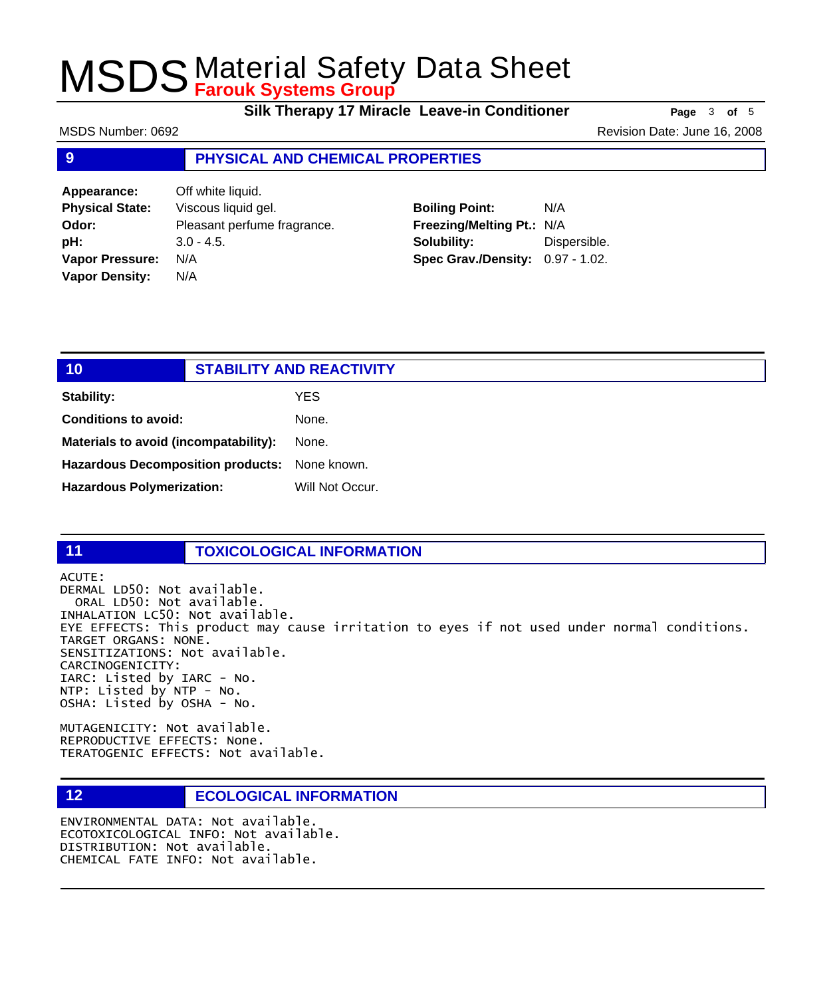**Silk Therapy 17 Miracle Leave-in Conditioner** Page 3 of 5

MSDS Number: 0692 MSDS Number: 0692

## **9 PHYSICAL AND CHEMICAL PROPERTIES**

**Appearance:** Off white liquid. **Physical State:** Viscous liquid gel. **Odor:** Pleasant perfume fragrance. **pH:** 3.0 - 4.5. **Vapor Pressure:** N/A **Vapor Density:** N/A

## **Boiling Point:** N/A **Freezing/Melting Pt.:** N/A **Solubility:** Dispersible. **Spec Grav./Density:** 0.97 - 1.02.

| 10                                            |  | <b>STABILITY AND REACTIVITY</b> |  |
|-----------------------------------------------|--|---------------------------------|--|
| <b>Stability:</b>                             |  | YES                             |  |
| <b>Conditions to avoid:</b>                   |  | None.                           |  |
| Materials to avoid (incompatability):         |  | None.                           |  |
| Hazardous Decomposition products: None known. |  |                                 |  |
| <b>Hazardous Polymerization:</b>              |  | Will Not Occur.                 |  |

### **11 TOXICOLOGICAL INFORMATION**

ACUTE: DERMAL LD50: Not available. ORAL LD50: Not available. INHALATION LC50: Not available. EYE EFFECTS: This product may cause irritation to eyes if not used under normal conditions. TARGET ORGANS: NONE. SENSITIZATIONS: Not available. CARCINOGENICITY: IARC: Listed by IARC - No. NTP: Listed by NTP - No.

MUTAGENICITY: Not available. REPRODUCTIVE EFFECTS: None. TERATOGENIC EFFECTS: Not available.

OSHA: Listed by OSHA - No.

## **12 ECOLOGICAL INFORMATION**

ENVIRONMENTAL DATA: Not available. ECOTOXICOLOGICAL INFO: Not available. DISTRIBUTION: Not available. CHEMICAL FATE INFO: Not available.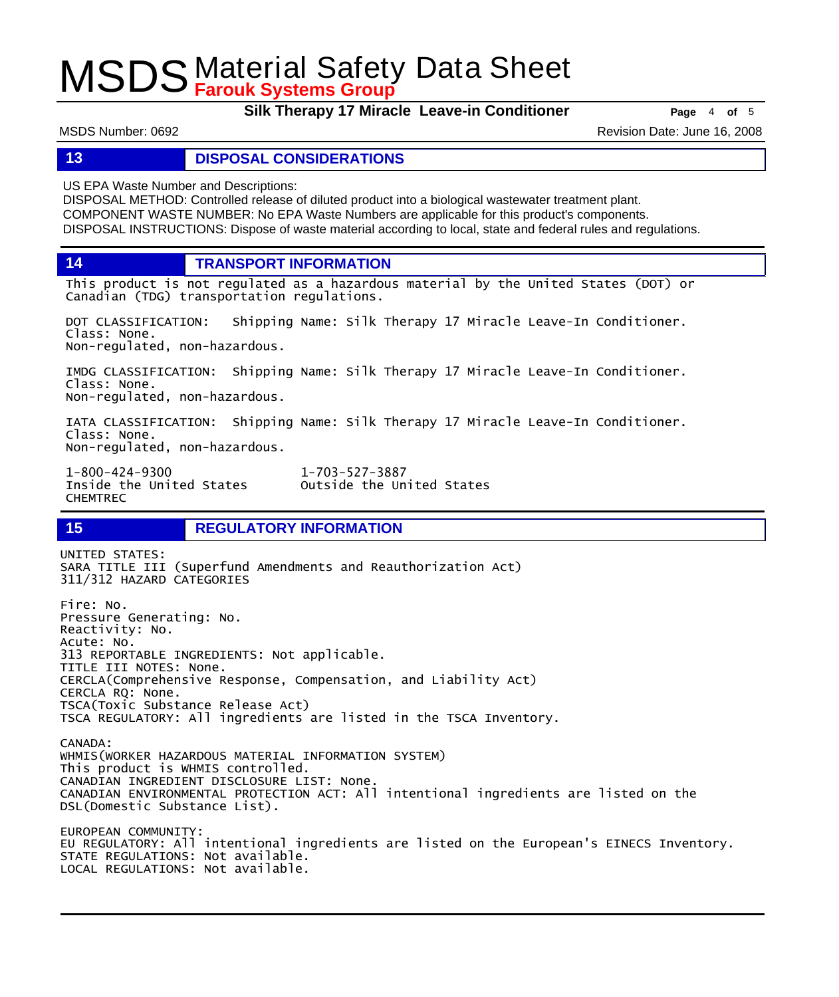**Silk Therapy 17 Miracle Leave-in Conditioner Page** 4 of 5

MSDS Number: 0692 Revision Date: June 16, 2008

## **13 DISPOSAL CONSIDERATIONS**

US EPA Waste Number and Descriptions:

DISPOSAL METHOD: Controlled release of diluted product into a biological wastewater treatment plant. COMPONENT WASTE NUMBER: No EPA Waste Numbers are applicable for this product's components. DISPOSAL INSTRUCTIONS: Dispose of waste material according to local, state and federal rules and regulations.

**14 TRANSPORT INFORMATION**

This product is not regulated as a hazardous material by the United States (DOT) or Canadian (TDG) transportation regulations.

DOT CLASSIFICATION: Shipping Name: Silk Therapy 17 Miracle Leave-In Conditioner. Class: None. Non-regulated, non-hazardous.

IMDG CLASSIFICATION: Shipping Name: Silk Therapy 17 Miracle Leave-In Conditioner. Class: None. Non-regulated, non-hazardous.

IATA CLASSIFICATION: Shipping Name: Silk Therapy 17 Miracle Leave-In Conditioner. Class: None. Non-regulated, non-hazardous.

1-800-424-9300 1-703-527-3887 CHEMTREC

Outside the United States

## **15 REGULATORY INFORMATION**

UNITED STATES: SARA TITLE III (Superfund Amendments and Reauthorization Act) 311/312 HAZARD CATEGORIES Fire: No. Pressure Generating: No. Reactivity: No. Acute: No. 313 REPORTABLE INGREDIENTS: Not applicable. TITLE III NOTES: None. CERCLA(Comprehensive Response, Compensation, and Liability Act) CERCLA RQ: None. TSCA(Toxic Substance Release Act) TSCA REGULATORY: All ingredients are listed in the TSCA Inventory. CANADA: WHMIS(WORKER HAZARDOUS MATERIAL INFORMATION SYSTEM) This product is WHMIS controlled. CANADIAN INGREDIENT DISCLOSURE LIST: None. CANADIAN ENVIRONMENTAL PROTECTION ACT: All intentional ingredients are listed on the DSL(Domestic Substance List). EUROPEAN COMMUNITY: EU REGULATORY: All intentional ingredients are listed on the European's EINECS Inventory. STATE REGULATIONS: Not available. LOCAL REGULATIONS: Not available.